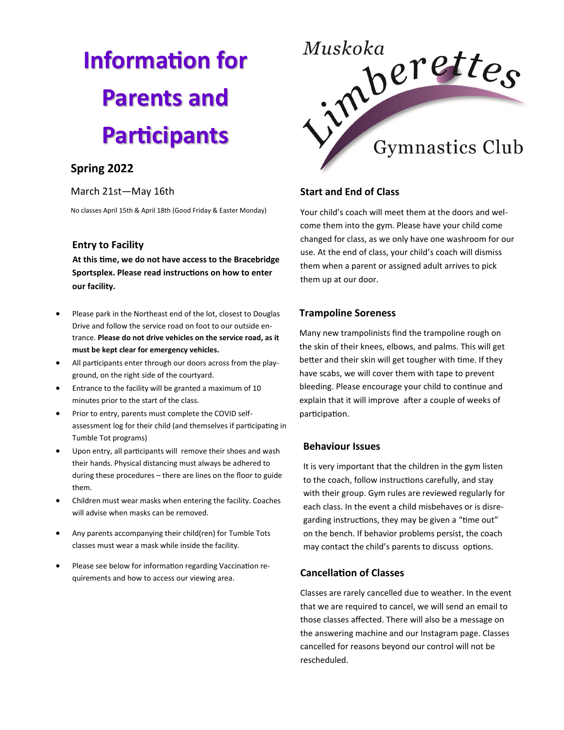# **Information for Parents and Participants**

## **Spring 2022**

#### March 21st—May 16th

No classes April 15th & April 18th (Good Friday & Easter Monday)

#### **Entry to Facility**

 **At this time, we do not have access to the Bracebridge Sportsplex. Please read instructions on how to enter our facility.**

- Please park in the Northeast end of the lot, closest to Douglas Drive and follow the service road on foot to our outside entrance. **Please do not drive vehicles on the service road, as it must be kept clear for emergency vehicles.**
- All participants enter through our doors across from the playground, on the right side of the courtyard.
- Entrance to the facility will be granted a maximum of 10 minutes prior to the start of the class.
- Prior to entry, parents must complete the COVID selfassessment log for their child (and themselves if participating in Tumble Tot programs)
- Upon entry, all participants will remove their shoes and wash their hands. Physical distancing must always be adhered to during these procedures – there are lines on the floor to guide them.
- Children must wear masks when entering the facility. Coaches will advise when masks can be removed.
- Any parents accompanying their child(ren) for Tumble Tots classes must wear a mask while inside the facility.
- Please see below for information regarding Vaccination requirements and how to access our viewing area.



## **Start and End of Class**

Your child's coach will meet them at the doors and welcome them into the gym. Please have your child come changed for class, as we only have one washroom for our use. At the end of class, your child's coach will dismiss them when a parent or assigned adult arrives to pick them up at our door.

## **Trampoline Soreness**

Many new trampolinists find the trampoline rough on the skin of their knees, elbows, and palms. This will get better and their skin will get tougher with time. If they have scabs, we will cover them with tape to prevent bleeding. Please encourage your child to continue and explain that it will improve after a couple of weeks of participation.

#### **Behaviour Issues**

It is very important that the children in the gym listen to the coach, follow instructions carefully, and stay with their group. Gym rules are reviewed regularly for each class. In the event a child misbehaves or is disregarding instructions, they may be given a "time out" on the bench. If behavior problems persist, the coach may contact the child's parents to discuss options.

## **Cancellation of Classes**

Classes are rarely cancelled due to weather. In the event that we are required to cancel, we will send an email to those classes affected. There will also be a message on the answering machine and our Instagram page. Classes cancelled for reasons beyond our control will not be rescheduled.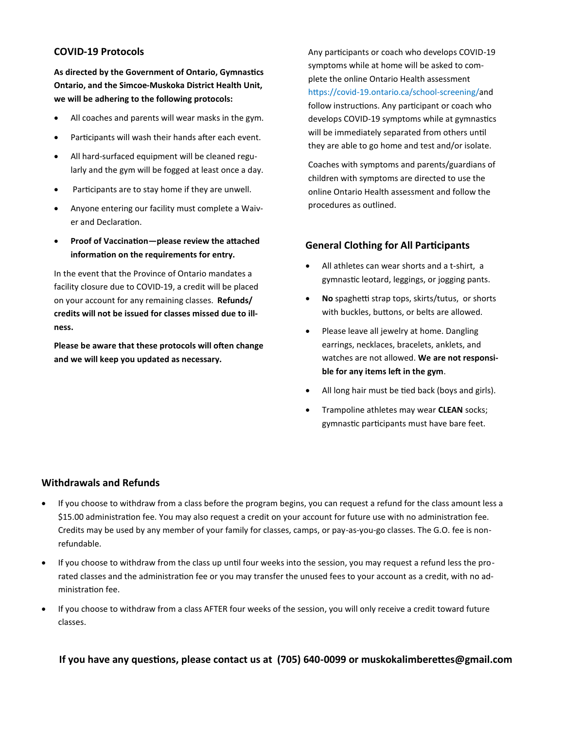### **COVID-19 Protocols**

**As directed by the Government of Ontario, Gymnastics Ontario, and the Simcoe-Muskoka District Health Unit, we will be adhering to the following protocols:**

- All coaches and parents will wear masks in the gym.
- Participants will wash their hands after each event.
- All hard-surfaced equipment will be cleaned regularly and the gym will be fogged at least once a day.
- Participants are to stay home if they are unwell.
- Anyone entering our facility must complete a Waiver and Declaration.
- **Proof of Vaccination—please review the attached information on the requirements for entry.**

In the event that the Province of Ontario mandates a facility closure due to COVID-19, a credit will be placed on your account for any remaining classes. **Refunds/ credits will not be issued for classes missed due to illness.**

**Please be aware that these protocols will often change and we will keep you updated as necessary.**

Any participants or coach who develops COVID-19 symptoms while at home will be asked to complete the online Ontario Health assessment https://covid-19.ontario.ca/school-screening/and follow instructions. Any participant or coach who develops COVID-19 symptoms while at gymnastics will be immediately separated from others until they are able to go home and test and/or isolate.

Coaches with symptoms and parents/guardians of children with symptoms are directed to use the online Ontario Health assessment and follow the procedures as outlined.

#### **General Clothing for All Participants**

- All athletes can wear shorts and a t-shirt, a gymnastic leotard, leggings, or jogging pants.
- **No** spaghetti strap tops, skirts/tutus, or shorts with buckles, buttons, or belts are allowed.
- Please leave all jewelry at home. Dangling earrings, necklaces, bracelets, anklets, and watches are not allowed. **We are not responsible for any items left in the gym**.
- All long hair must be tied back (boys and girls).
- Trampoline athletes may wear **CLEAN** socks; gymnastic participants must have bare feet.

#### **Withdrawals and Refunds**

- If you choose to withdraw from a class before the program begins, you can request a refund for the class amount less a \$15.00 administration fee. You may also request a credit on your account for future use with no administration fee. Credits may be used by any member of your family for classes, camps, or pay-as-you-go classes. The G.O. fee is nonrefundable.
- If you choose to withdraw from the class up until four weeks into the session, you may request a refund less the prorated classes and the administration fee or you may transfer the unused fees to your account as a credit, with no administration fee.
- If you choose to withdraw from a class AFTER four weeks of the session, you will only receive a credit toward future classes.

**If you have any questions, please contact us at (705) 640-0099 or muskokalimberettes@gmail.com**